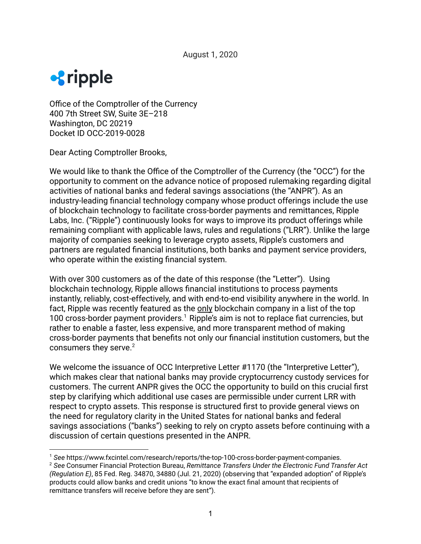

Office of the Comptroller of the Currency 400 7th Street SW, Suite 3E–218 Washington, DC 20219 Docket ID OCC-2019-0028

Dear Acting Comptroller Brooks,

We would like to thank the Office of the Comptroller of the Currency (the "OCC") for the opportunity to comment on the advance notice of proposed rulemaking regarding digital activities of national banks and federal savings associations (the "ANPR"). As an industry-leading financial technology company whose product offerings include the use of blockchain technology to facilitate cross-border payments and remittances, Ripple Labs, Inc. ("Ripple") continuously looks for ways to improve its product offerings while remaining compliant with applicable laws, rules and regulations ("LRR"). Unlike the large majority of companies seeking to leverage crypto assets, Ripple's customers and partners are regulated financial institutions, both banks and payment service providers, who operate within the existing financial system.

With over 300 customers as of the date of this response (the "Letter"). Using blockchain technology, Ripple allows financial institutions to process payments instantly, reliably, cost-effectively, and with end-to-end visibility anywhere in the world. In fact, Ripple was recently featured as the only blockchain company in a list of the top 100 cross-border payment providers.<sup>1</sup> Ripple's aim is not to replace fiat currencies, but rather to enable a faster, less expensive, and more transparent method of making cross-border payments that benefits not only our financial institution customers, but the consumers they serve.<sup>2</sup>

We welcome the issuance of OCC Interpretive Letter #1170 (the "Interpretive Letter"). which makes clear that national banks may provide cryptocurrency custody services for customers. The current ANPR gives the OCC the opportunity to build on this crucial first step by clarifying which additional use cases are permissible under current LRR with respect to crypto assets. This response is structured first to provide general views on the need for regulatory clarity in the United States for national banks and federal savings associations ("banks") seeking to rely on crypto assets before continuing with a discussion of certain questions presented in the ANPR.

<sup>1</sup> *See* https://www.fxcintel.com/research/reports/the-top-100-cross-border-payment-companies.

<sup>2</sup> *See* Consumer Financial Protection Bureau, *Remittance Transfers Under the Electronic Fund Transfer Act (Regulation E)*, 85 Fed. Reg. 34870, 34880 (Jul. 21, 2020) (observing that "expanded adoption" of Ripple's products could allow banks and credit unions "to know the exact final amount that recipients of remittance transfers will receive before they are sent").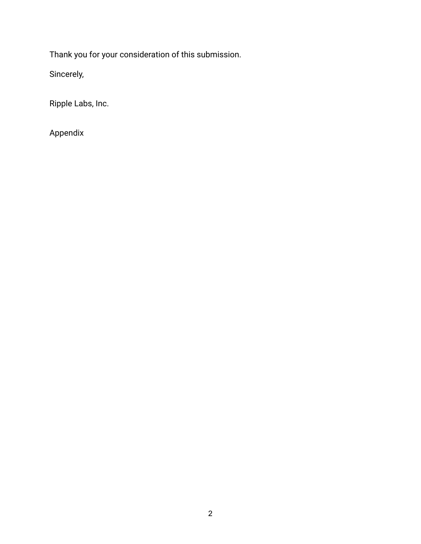Thank you for your consideration of this submission.

Sincerely,

Ripple Labs, Inc.

Appendix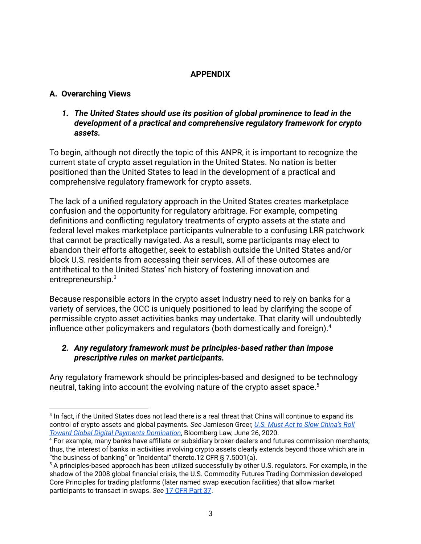# **APPENDIX**

# **A. Overarching Views**

*1. The United States should use its position of global prominence to lead in the development of a practical and comprehensive regulatory framework for crypto assets.*

To begin, although not directly the topic of this ANPR, it is important to recognize the current state of crypto asset regulation in the United States. No nation is better positioned than the United States to lead in the development of a practical and comprehensive regulatory framework for crypto assets.

The lack of a unified regulatory approach in the United States creates marketplace confusion and the opportunity for regulatory arbitrage. For example, competing definitions and conflicting regulatory treatments of crypto assets at the state and federal level makes marketplace participants vulnerable to a confusing LRR patchwork that cannot be practically navigated. As a result, some participants may elect to abandon their efforts altogether, seek to establish outside the United States and/or block U.S. residents from accessing their services. All of these outcomes are antithetical to the United States' rich history of fostering innovation and entrepreneurship.<sup>3</sup>

Because responsible actors in the crypto asset industry need to rely on banks for a variety of services, the OCC is uniquely positioned to lead by clarifying the scope of permissible crypto asset activities banks may undertake. That clarity will undoubtedly influence other policymakers and regulators (both domestically and foreign).<sup>4</sup>

## *2. Any regulatory framework must be principles-based rather than impose prescriptive rules on market participants.*

Any regulatory framework should be principles-based and designed to be technology neutral, taking into account the evolving nature of the crypto asset space.<sup>5</sup>

 $^3$  In fact, if the United States does not lead there is a real threat that China will continue to expand its control of crypto assets and global payments. *See* Jamieson Greer, *U.S. Must Act to Slow [China's](https://news.bloomberglaw.com/tech-and-telecom-law/insight-u-s-must-act-to-slow-chinas-roll-toward-global-digital-payments-domination) Roll Toward Global Digital Payments [Domination](https://news.bloomberglaw.com/tech-and-telecom-law/insight-u-s-must-act-to-slow-chinas-roll-toward-global-digital-payments-domination)*, Bloomberg Law, June 26, 2020.

<sup>4</sup> For example, many banks have affiliate or subsidiary broker-dealers and futures commission merchants; thus, the interest of banks in activities involving crypto assets clearly extends beyond those which are in "the business of banking" or "incidental" thereto.12 CFR § 7.5001(a).

<sup>5</sup> A principles-based approach has been utilized successfully by other U.S. regulators. For example, in the shadow of the 2008 global financial crisis, the U.S. Commodity Futures Trading Commission developed Core Principles for trading platforms (later named swap execution facilities) that allow market participants to transact in swaps. *See* 17 CFR [Part](https://www.law.cornell.edu/cfr/text/17/part-37) 37.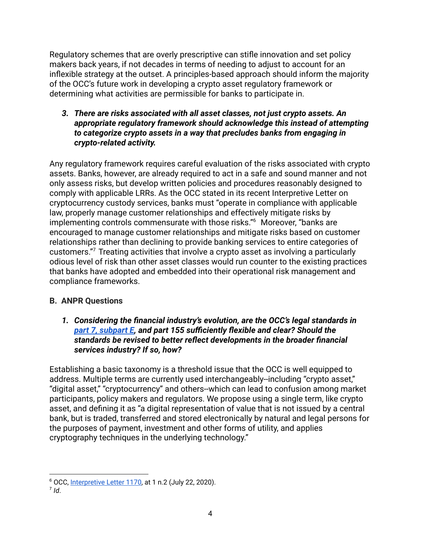Regulatory schemes that are overly prescriptive can stifle innovation and set policy makers back years, if not decades in terms of needing to adjust to account for an inflexible strategy at the outset. A principles-based approach should inform the majority of the OCC's future work in developing a crypto asset regulatory framework or determining what activities are permissible for banks to participate in.

*3. There are risks associated with all asset classes, not just crypto assets. An appropriate regulatory framework should acknowledge this instead of attempting to categorize crypto assets in a way that precludes banks from engaging in crypto-related activity.*

Any regulatory framework requires careful evaluation of the risks associated with crypto assets. Banks, however, are already required to act in a safe and sound manner and not only assess risks, but develop written policies and procedures reasonably designed to comply with applicable LRRs. As the OCC stated in its recent Interpretive Letter on cryptocurrency custody services, banks must "operate in compliance with applicable law, properly manage customer relationships and effectively mitigate risks by implementing controls commensurate with those risks."<sup>6</sup> Moreover, "banks are encouraged to manage customer relationships and mitigate risks based on customer relationships rather than declining to provide banking services to entire categories of customers."<sup>7</sup> Treating activities that involve a crypto asset as involving a particularly odious level of risk than other asset classes would run counter to the existing practices that banks have adopted and embedded into their operational risk management and compliance frameworks.

## **B. ANPR Questions**

*1. Considering the financial industry's evolution, are the OCC's legal standards in [part 7, subpart E](https://www.law.cornell.edu/cfr/text/12/part-7/subpart-E), and part 155 sufficiently flexible and clear? Should the standards be revised to better reflect developments in the broader financial services industry? If so, how?*

Establishing a basic taxonomy is a threshold issue that the OCC is well equipped to address. Multiple terms are currently used interchangeably--including "crypto asset," "digital asset," "cryptocurrency" and others--which can lead to confusion among market participants, policy makers and regulators. We propose using a single term, like crypto asset, and defining it as "a digital representation of value that is not issued by a central bank, but is traded, transferred and stored electronically by natural and legal persons for the purposes of payment, investment and other forms of utility, and applies cryptography techniques in the underlying technology."

<sup>6</sup> OCC, [Interpretive](https://www.occ.treas.gov/news-issuances/news-releases/2020/nr-occ-2020-98.html) Letter 1170, at 1 n.2 (July 22, 2020).

<sup>7</sup> *Id*.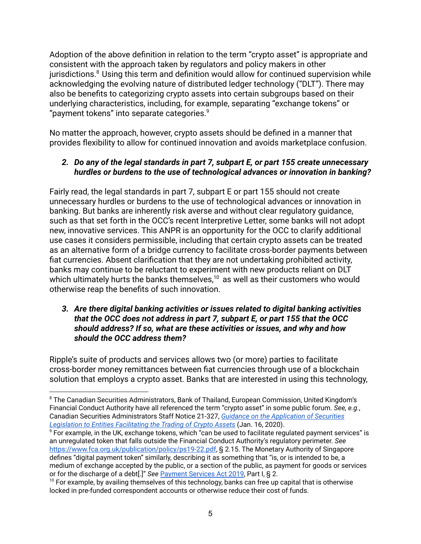Adoption of the above definition in relation to the term "crypto asset" is appropriate and consistent with the approach taken by regulators and policy makers in other jurisdictions.<sup>8</sup> Using this term and definition would allow for continued supervision while acknowledging the evolving nature of distributed ledger technology ("DLT"). There may also be benefits to categorizing crypto assets into certain subgroups based on their underlying characteristics, including, for example, separating "exchange tokens" or "payment tokens" into separate categories. $9$ 

No matter the approach, however, crypto assets should be defined in a manner that provides flexibility to allow for continued innovation and avoids marketplace confusion.

# *2. Do any of the legal standards in part 7, subpart E, or part 155 create unnecessary hurdles or burdens to the use of technological advances or innovation in banking?*

Fairly read, the legal standards in part 7, subpart E or part 155 should not create unnecessary hurdles or burdens to the use of technological advances or innovation in banking. But banks are inherently risk averse and without clear regulatory guidance, such as that set forth in the OCC's recent Interpretive Letter, some banks will not adopt new, innovative services. This ANPR is an opportunity for the OCC to clarify additional use cases it considers permissible, including that certain crypto assets can be treated as an alternative form of a bridge currency to facilitate cross-border payments between fiat currencies. Absent clarification that they are not undertaking prohibited activity, banks may continue to be reluctant to experiment with new products reliant on DLT which ultimately hurts the banks themselves, $10$  as well as their customers who would otherwise reap the benefits of such innovation.

### *3. Are there digital banking activities or issues related to digital banking activities that the OCC does not address in part 7, subpart E, or part 155 that the OCC should address? If so, what are these activities or issues, and why and how should the OCC address them?*

Ripple's suite of products and services allows two (or more) parties to facilitate cross-border money remittances between fiat currencies through use of a blockchain solution that employs a crypto asset. Banks that are interested in using this technology,

<sup>&</sup>lt;sup>8</sup> The Canadian Securities Administrators, Bank of Thailand, European Commission, United Kingdom's Financial Conduct Authority have all referenced the term "crypto asset" in some public forum. *See, e.g.*, Canadian Securities Administrators Staff Notice 21-327, *Guidance on the [Application](https://www.osc.gov.on.ca/documents/en/Securities-Category2/csa_20200116_21-327_trading-crypto-assets.pdf) of Securities Legislation to Entities [Facilitating](https://www.osc.gov.on.ca/documents/en/Securities-Category2/csa_20200116_21-327_trading-crypto-assets.pdf) the Trading of Crypto Assets* (Jan. 16, 2020).

<sup>9</sup> For example, in the UK, exchange tokens, which "can be used to facilitate regulated payment services" is an unregulated token that falls outside the Financial Conduct Authority's regulatory perimeter. *See* <https://www.fca.org.uk/publication/policy/ps19-22.pdf>, § 2.15. The Monetary Authority of Singapore defines "digital payment token" similarly, describing it as something that "is, or is intended to be, a medium of exchange accepted by the public, or a section of the public, as payment for goods or services or for the discharge of a debt[.]" *See* [Payment](https://sso.agc.gov.sg/Acts-Supp/2-2019/Published/20190220?DocDate=20190220) Services Act 2019, Part I, § 2.

 $10$  For example, by availing themselves of this technology, banks can free up capital that is otherwise locked in pre-funded correspondent accounts or otherwise reduce their cost of funds.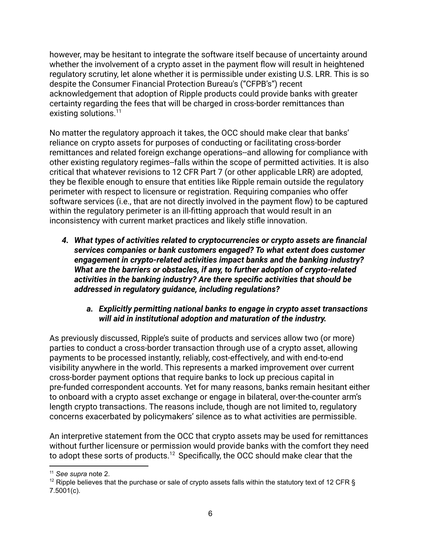however, may be hesitant to integrate the software itself because of uncertainty around whether the involvement of a crypto asset in the payment flow will result in heightened regulatory scrutiny, let alone whether it is permissible under existing U.S. LRR. This is so despite the Consumer Financial Protection Bureau's ("CFPB's") recent acknowledgement that adoption of Ripple products could provide banks with greater certainty regarding the fees that will be charged in cross-border remittances than existing solutions.<sup>11</sup>

No matter the regulatory approach it takes, the OCC should make clear that banks' reliance on crypto assets for purposes of conducting or facilitating cross-border remittances and related foreign exchange operations--and allowing for compliance with other existing regulatory regimes--falls within the scope of permitted activities. It is also critical that whatever revisions to 12 CFR Part 7 (or other applicable LRR) are adopted, they be flexible enough to ensure that entities like Ripple remain outside the regulatory perimeter with respect to licensure or registration. Requiring companies who offer software services (i.e., that are not directly involved in the payment flow) to be captured within the regulatory perimeter is an ill-fitting approach that would result in an inconsistency with current market practices and likely stifle innovation.

*4. What types of activities related to cryptocurrencies or crypto assets are financial services companies or bank customers engaged? To what extent does customer engagement in crypto-related activities impact banks and the banking industry? What are the barriers or obstacles, if any, to further adoption of crypto-related activities in the banking industry? Are there specific activities that should be addressed in regulatory guidance, including regulations?*

## *a. Explicitly permitting national banks to engage in crypto asset transactions will aid in institutional adoption and maturation of the industry.*

As previously discussed, Ripple's suite of products and services allow two (or more) parties to conduct a cross-border transaction through use of a crypto asset, allowing payments to be processed instantly, reliably, cost-effectively, and with end-to-end visibility anywhere in the world. This represents a marked improvement over current cross-border payment options that require banks to lock up precious capital in pre-funded correspondent accounts. Yet for many reasons, banks remain hesitant either to onboard with a crypto asset exchange or engage in bilateral, over-the-counter arm's length crypto transactions. The reasons include, though are not limited to, regulatory concerns exacerbated by policymakers' silence as to what activities are permissible.

An interpretive statement from the OCC that crypto assets may be used for remittances without further licensure or permission would provide banks with the comfort they need to adopt these sorts of products.<sup>12</sup> Specifically, the OCC should make clear that the

<sup>11</sup> *See supra* note 2.

<sup>&</sup>lt;sup>12</sup> Ripple believes that the purchase or sale of crypto assets falls within the statutory text of 12 CFR  $\S$ 7.5001(c).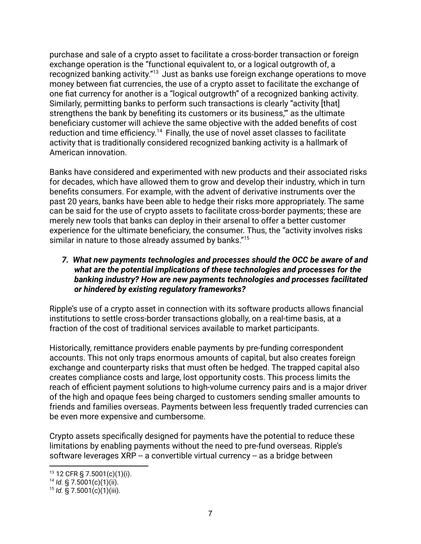purchase and sale of a crypto asset to facilitate a cross-border transaction or foreign exchange operation is the "functional equivalent to, or a logical outgrowth of, a recognized banking activity."<sup>13</sup> Just as banks use foreign exchange operations to move money between fiat currencies, the use of a crypto asset to facilitate the exchange of one fiat currency for another is a "logical outgrowth" of a recognized banking activity. Similarly, permitting banks to perform such transactions is clearly "activity [that] strengthens the bank by benefiting its customers or its business,'" as the ultimate beneficiary customer will achieve the same objective with the added benefits of cost reduction and time efficiency.<sup>14</sup> Finally, the use of novel asset classes to facilitate activity that is traditionally considered recognized banking activity is a hallmark of American innovation.

Banks have considered and experimented with new products and their associated risks for decades, which have allowed them to grow and develop their industry, which in turn benefits consumers. For example, with the advent of derivative instruments over the past 20 years, banks have been able to hedge their risks more appropriately. The same can be said for the use of crypto assets to facilitate cross-border payments; these are merely new tools that banks can deploy in their arsenal to offer a better customer experience for the ultimate beneficiary, the consumer. Thus, the "activity involves risks similar in nature to those already assumed by banks."<sup>15</sup>

### *7. What new payments technologies and processes should the OCC be aware of and what are the potential implications of these technologies and processes for the banking industry? How are new payments technologies and processes facilitated or hindered by existing regulatory frameworks?*

Ripple's use of a crypto asset in connection with its software products allows financial institutions to settle cross-border transactions globally, on a real-time basis, at a fraction of the cost of traditional services available to market participants.

Historically, remittance providers enable payments by pre-funding correspondent accounts. This not only traps enormous amounts of capital, but also creates foreign exchange and counterparty risks that must often be hedged. The trapped capital also creates compliance costs and large, lost opportunity costs. This process limits the reach of efficient payment solutions to high-volume currency pairs and is a major driver of the high and opaque fees being charged to customers sending smaller amounts to friends and families overseas. Payments between less frequently traded currencies can be even more expensive and cumbersome.

Crypto assets specifically designed for payments have the potential to reduce these limitations by enabling payments without the need to pre-fund overseas. Ripple's software leverages XRP -- a convertible virtual currency -- as a bridge between

 $13$  12 CFR § 7.5001(c)(1)(i).

 $14$  *Id.* § 7.5001(c)(1)(ii).

<sup>15</sup> *Id.* § 7.5001(c)(1)(iii).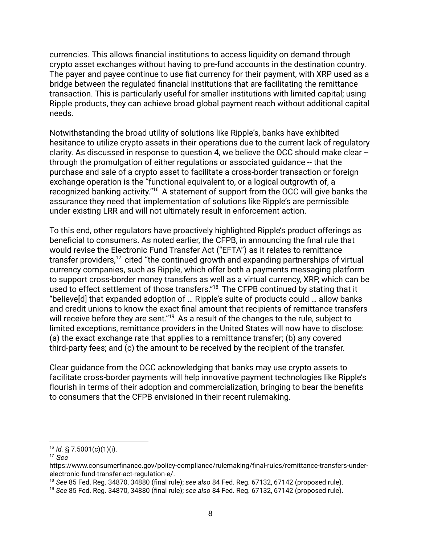currencies. This allows financial institutions to access liquidity on demand through crypto asset exchanges without having to pre-fund accounts in the destination country. The payer and payee continue to use fiat currency for their payment, with XRP used as a bridge between the regulated financial institutions that are facilitating the remittance transaction. This is particularly useful for smaller institutions with limited capital; using Ripple products, they can achieve broad global payment reach without additional capital needs.

Notwithstanding the broad utility of solutions like Ripple's, banks have exhibited hesitance to utilize crypto assets in their operations due to the current lack of regulatory clarity. As discussed in response to question 4, we believe the OCC should make clear - through the promulgation of either regulations or associated guidance -- that the purchase and sale of a crypto asset to facilitate a cross-border transaction or foreign exchange operation is the "functional equivalent to, or a logical outgrowth of, a recognized banking activity."<sup>16</sup> A statement of support from the OCC will give banks the assurance they need that implementation of solutions like Ripple's are permissible under existing LRR and will not ultimately result in enforcement action.

To this end, other regulators have proactively highlighted Ripple's product offerings as beneficial to consumers. As noted earlier, the CFPB, in announcing the final rule that would revise the Electronic Fund Transfer Act ("EFTA") as it relates to remittance transfer providers,  $17$  cited "the continued growth and expanding partnerships of virtual currency companies, such as Ripple, which offer both a payments messaging platform to support cross-border money transfers as well as a virtual currency, XRP, which can be used to effect settlement of those transfers."<sup>18</sup> The CFPB continued by stating that it "believe[d] that expanded adoption of … Ripple's suite of products could … allow banks and credit unions to know the exact final amount that recipients of remittance transfers will receive before they are sent." $^{19}$  As a result of the changes to the rule, subject to limited exceptions, remittance providers in the United States will now have to disclose: (a) the exact exchange rate that applies to a remittance transfer; (b) any covered third-party fees; and (c) the amount to be received by the recipient of the transfer.

Clear guidance from the OCC acknowledging that banks may use crypto assets to facilitate cross-border payments will help innovative payment technologies like Ripple's flourish in terms of their adoption and commercialization, bringing to bear the benefits to consumers that the CFPB envisioned in their recent rulemaking.

<sup>16</sup> *Id.* § 7.5001(c)(1)(i).

<sup>17</sup> *See*

https://www.consumerfinance.gov/policy-compliance/rulemaking/final-rules/remittance-transfers-underelectronic-fund-transfer-act-regulation-e/.

<sup>18</sup> *See* 85 Fed. Reg. 34870, 34880 (final rule); *see also* 84 Fed. Reg. 67132, 67142 (proposed rule).

<sup>19</sup> *See* 85 Fed. Reg. 34870, 34880 (final rule); *see also* 84 Fed. Reg. 67132, 67142 (proposed rule).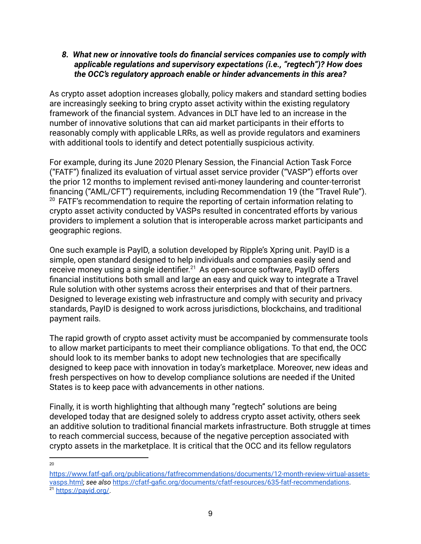#### *8. What new or innovative tools do financial services companies use to comply with applicable regulations and supervisory expectations (i.e., "regtech")? How does the OCC's regulatory approach enable or hinder advancements in this area?*

As crypto asset adoption increases globally, policy makers and standard setting bodies are increasingly seeking to bring crypto asset activity within the existing regulatory framework of the financial system. Advances in DLT have led to an increase in the number of innovative solutions that can aid market participants in their efforts to reasonably comply with applicable LRRs, as well as provide regulators and examiners with additional tools to identify and detect potentially suspicious activity.

For example, during its June 2020 Plenary Session, the Financial Action Task Force ("FATF") finalized its evaluation of virtual asset service provider ("VASP") efforts over the prior 12 months to implement revised anti-money laundering and counter-terrorist financing ("AML/CFT") requirements, including Recommendation 19 (the "Travel Rule").  $20$  FATF's recommendation to require the reporting of certain information relating to crypto asset activity conducted by VASPs resulted in concentrated efforts by various providers to implement a solution that is interoperable across market participants and geographic regions.

One such example is PayID, a solution developed by Ripple's Xpring unit. PayID is a simple, open standard designed to help individuals and companies easily send and receive money using a single identifier.<sup>21</sup> As open-source software, PayID offers financial institutions both small and large an easy and quick way to integrate a Travel Rule solution with other systems across their enterprises and that of their partners. Designed to leverage existing web infrastructure and comply with security and privacy standards, PayID is designed to work across jurisdictions, blockchains, and traditional payment rails.

The rapid growth of crypto asset activity must be accompanied by commensurate tools to allow market participants to meet their compliance obligations. To that end, the OCC should look to its member banks to adopt new technologies that are specifically designed to keep pace with innovation in today's marketplace. Moreover, new ideas and fresh perspectives on how to develop compliance solutions are needed if the United States is to keep pace with advancements in other nations.

Finally, it is worth highlighting that although many "regtech" solutions are being developed today that are designed solely to address crypto asset activity, others seek an additive solution to traditional financial markets infrastructure. Both struggle at times to reach commercial success, because of the negative perception associated with crypto assets in the marketplace. It is critical that the OCC and its fellow regulators

 $20$ 

<sup>21</sup> [https://payid.org/.](https://payid.org/) [https://www.fatf-gafi.org/publications/fatfrecommendations/documents/12-month-review-virtual-assets](https://www.fatf-gafi.org/publications/fatfrecommendations/documents/12-month-review-virtual-assets-vasps.html)[vasps.html;](https://www.fatf-gafi.org/publications/fatfrecommendations/documents/12-month-review-virtual-assets-vasps.html) *see also* https://cfatf-gafic.org/documents/cfatf-resources/635-fatf-recommendations.